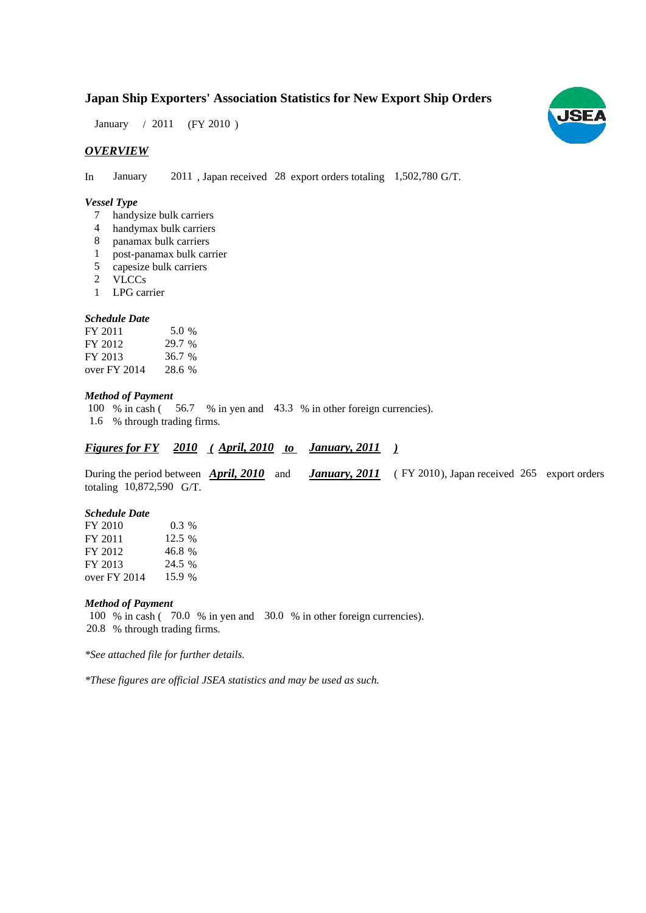# **Japan Ship Exporters' Association Statistics for New Export Ship Orders**

 $(FY 2010)$ January  $/2011$ 

## *OVERVIEW*

In January 2011, Japan received 28 export orders totaling 1,502,780 G/T.

## *Vessel Type*

- handysize bulk carriers 7
- handymax bulk carriers 4
- panamax bulk carriers 8
- post-panamax bulk carrier 1
- capesize bulk carriers 5
- VLCCs 2
- LPG carrier 1

## *Schedule Date*

| FY 2011      | 5.0 %  |
|--------------|--------|
| FY 2012      | 29.7 % |
| FY 2013      | 36.7 % |
| over FY 2014 | 28.6 % |

## *Method of Payment*

100 % in cash (56.7 % in yen and 43.3 % in other foreign currencies). % through trading firms. 1.6

## *Figures for FY* 2010 (April, 2010 to January, 2011)

During the period between **April, 2010** and **January, 2011** (FY 2010), Japan received 265 export orders totaling  $10,872,590$  G/T.

#### *Schedule Date*

| FY 2010      | $0.3\%$ |
|--------------|---------|
| FY 2011      | 12.5 %  |
| FY 2012      | 46.8 %  |
| FY 2013      | 24.5 %  |
| over FY 2014 | 15.9 %  |

#### *Method of Payment*

100 % in cash (70.0 % in yen and 30.0 % in other foreign currencies). % through trading firms. 20.8

*\*See attached file for further details.*

*\*These figures are official JSEA statistics and may be used as such.*

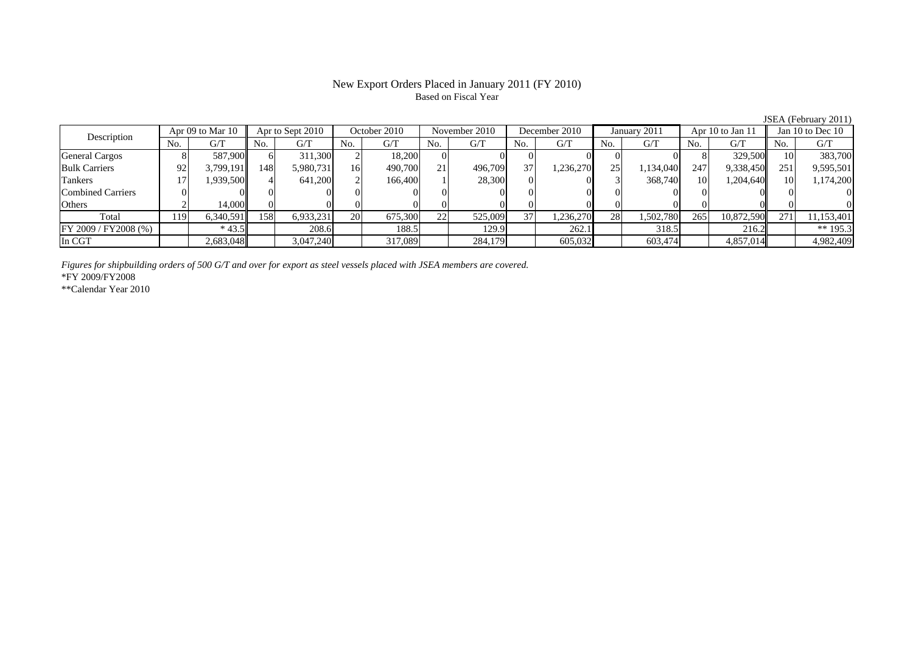# New Export Orders Placed in January 2011 (FY 2010) Based on Fiscal Year

JSEA (February 2011)<br>Jan 10 to Dec 10 No. G/T No. G/T No. G/T No. G/T No. G/T No. G/T No. G/T No. G/TGeneral Cargos | 8| 587,900|| 6| 311,300| 2| 18,200| 0| 0| 0| 0| 0| 0| 8| 329,500|| 10| 383,700 Bulk Carriers 92 3,799,191 148 5,980,731 16 490,700 21 496,709 37 1,236,270 25 1,134,040 247 9,338,450 251 9,595,501 Tankers | 17 | 1,939,500 | 4 | 641,200 | 2 | 166,400 | 1 | 28,300 | 0 | 3 | 368,740 | 10 | 1,204,640 | 10 | 1,174,200 Combined Carriers 0 0 0 0 0 0 0 0 0 0 0 0 0 0 0 0Others 2 14,000 0 0 0 0 0 0 0 0 0 0 0 0 0 0 Total 119 6,340,591 158 6,933,231 20 675,300 22 525,009 37 1,236,270 28 1,502,780 265 10,872,590 271 11,153,401 FY 2009 / FY2008 (%) \* 43.5 208.6 188.5 129.9 262.1 318.5 216.2 \*\* 195.3 In CGT 2,683,048 3,047,240 317,089 284,179 605,032 603,474 4,857,014 4,982,409 Description Apr 09 to Mar 10 Apr to Sept 2010 October 2010 November 2010<br>No. 1 G/T No. 1 G/T No. 1 G/T No. 1 G/T Apr to Sept 2010 October 2010 | November 2010 | December 2010 January 2011 | Apr 10 to Jan 11

*Figures for shipbuilding orders of 500 G/T and over for export as steel vessels placed with JSEA members are covered.* \*FY 2009/FY2008

\*\*Calendar Year 2010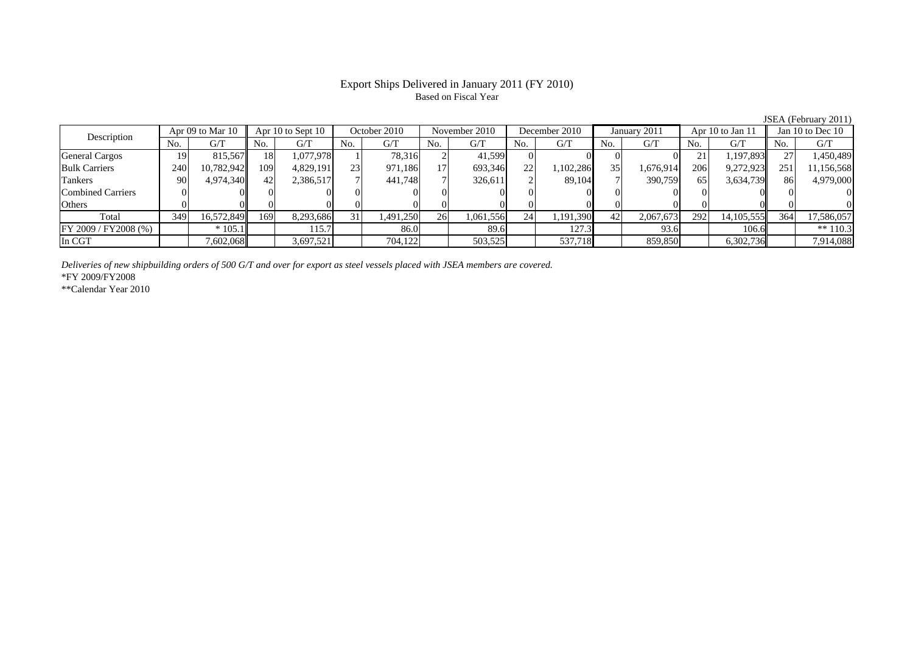# Export Ships Delivered in January 2011 (FY 2010) Based on Fiscal Year

JSEA (February 2011)<br>Jan 10 to Dec 10 No. G/T No. G/T No. G/T No. G/T No. G/T No. G/T No. G/T No. G/TGeneral Cargos ( 19 815,567 18 1,077,978 1 78,316 2 41,599 0 0 0 0 0 21 1,197,893 27 1,450,489 Bulk Carriers 240 10,782,942 109 4,829,191 23 971,186 17 693,346 22 1,102,286 35 1,676,914 206 9,272,923 251 11,156,568 Tankers | 90| 4,974,340|| 42| 2,386,517| 7| 441,748| 7| 326,611| 2| 89,104| 7| 390,759| 65| 3,634,739|| 86| 4,979,000 Combined Carriers 0 0 0 0 0 0 0 0 0 0 0 0 0 0 0 0 $\mathbf{0}$ Others | 0 | 0|| 0 | 0 | 0 | 0 | 0 | 0 | 0 | 0 | 0 | 0 Total 349 16,572,849 169 8,293,686 31 1,491,250 26 1,061,556 24 1,191,390 42 2,067,673 292 14,105,555 364 17,586,057 FY 2009 / FY2008 (%) \* 105.1 115.7 86.0 89.6 127.3 93.6 106.6 \*\* 110.3 In CGT | | 7,602,068| | 3,697,521| | 704,122| | 503,525| | 537,718 | | 859,850| | 6,302,736|| | 7,914,088 Description Apr  $(9)$  to Mar 10 Apr 10 to Sept 10 October 2010 November 2010 December 2010 January 2011 Apr 10 to Jan 11 Jan 10 to Dec 10

*Deliveries of new shipbuilding orders of 500 G/T and over for export as steel vessels placed with JSEA members are covered.*

\*FY 2009/FY2008

\*\*Calendar Year 2010